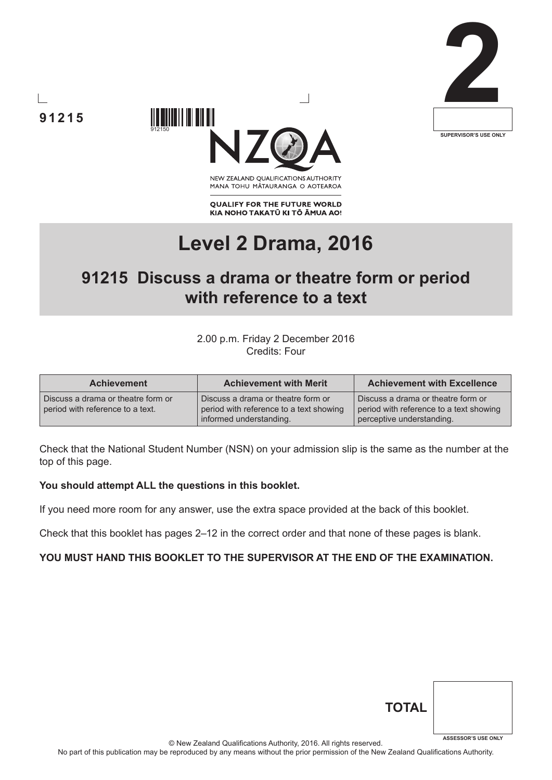





NEW ZEALAND OUALIFICATIONS AUTHORITY MANA TOHU MATAURANGA O AOTEAROA

**QUALIFY FOR THE FUTURE WORLD** KIA NOHO TAKATŪ KI TŌ ĀMUA AO!

# **Level 2 Drama, 2016**

# **91215 Discuss a drama or theatre form or period with reference to a text**

2.00 p.m. Friday 2 December 2016 Credits: Four

| <b>Achievement</b>                                                     | <b>Achievement with Merit</b>                                                                            | <b>Achievement with Excellence</b>                                                                         |
|------------------------------------------------------------------------|----------------------------------------------------------------------------------------------------------|------------------------------------------------------------------------------------------------------------|
| Discuss a drama or theatre form or<br>period with reference to a text. | Discuss a drama or theatre form or<br>period with reference to a text showing<br>informed understanding. | Discuss a drama or theatre form or<br>period with reference to a text showing<br>perceptive understanding. |

Check that the National Student Number (NSN) on your admission slip is the same as the number at the top of this page.

#### **You should attempt ALL the questions in this booklet.**

If you need more room for any answer, use the extra space provided at the back of this booklet.

Check that this booklet has pages 2–12 in the correct order and that none of these pages is blank.

## **YOU MUST HAND THIS BOOKLET TO THE SUPERVISOR AT THE END OF THE EXAMINATION.**

| <b>TOTAL</b> |                            |
|--------------|----------------------------|
|              | <b>ASSESSOR'S USE ONLY</b> |

© New Zealand Qualifications Authority, 2016. All rights reserved.

No part of this publication may be reproduced by any means without the prior permission of the New Zealand Qualifications Authority.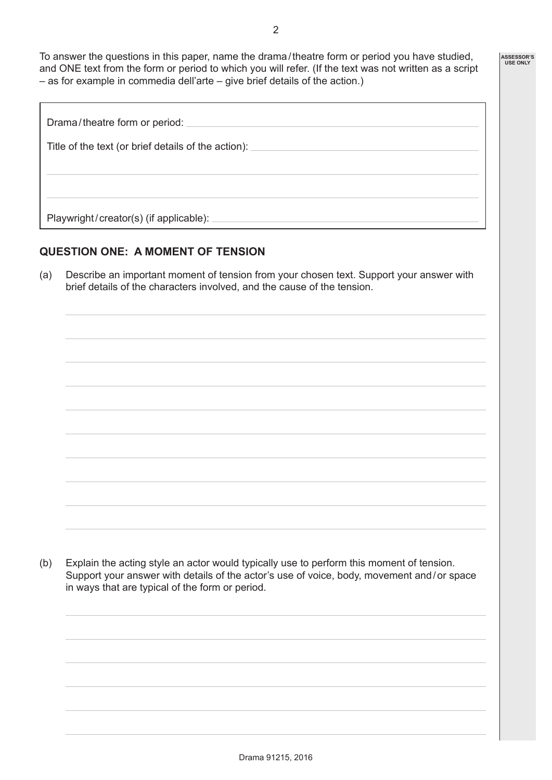To answer the questions in this paper, name the drama / theatre form or period you have studied, and ONE text from the form or period to which you will refer. (If the text was not written as a script – as for example in commedia dell'arte – give brief details of the action.)

| Drama/theatre form or period:                       |
|-----------------------------------------------------|
| Title of the text (or brief details of the action): |
|                                                     |
|                                                     |
| Playwright/creator(s) (if applicable):              |

# **QUESTION ONE: A MOMENT OF TENSION**

(a) Describe an important moment of tension from your chosen text. Support your answer with brief details of the characters involved, and the cause of the tension.

(b) Explain the acting style an actor would typically use to perform this moment of tension. Support your answer with details of the actor's use of voice, body, movement and / or space in ways that are typical of the form or period.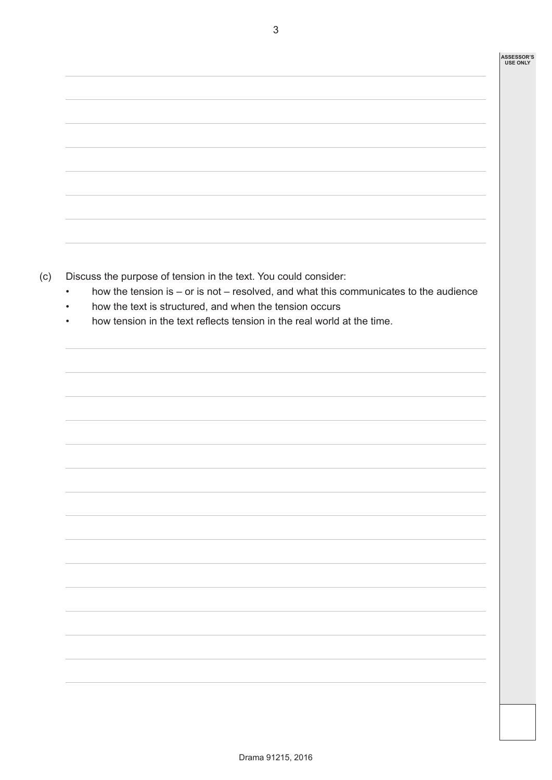- (c) Discuss the purpose of tension in the text. You could consider:
	- how the tension is or is not resolved, and what this communicates to the audience
	- how the text is structured, and when the tension occurs
	- how tension in the text reflects tension in the real world at the time.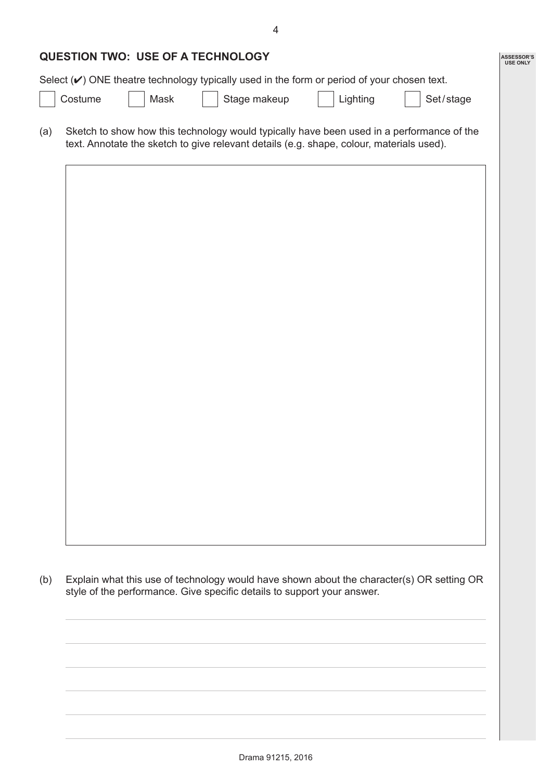| <b>QUESTION TWO: USE OF A TECHNOLOGY</b> |
|------------------------------------------|
|                                          |

Select  $(V)$  ONE theatre technology typically used in the form or period of your chosen text.

Costume | | Mask | | Stage makeup | | Lighting | | Set/stage

**ASSESSOR'S USE ONLY**

(a) Sketch to show how this technology would typically have been used in a performance of the text. Annotate the sketch to give relevant details (e.g. shape, colour, materials used).



(b) Explain what this use of technology would have shown about the character(s) OR setting OR style of the performance. Give specific details to support your answer.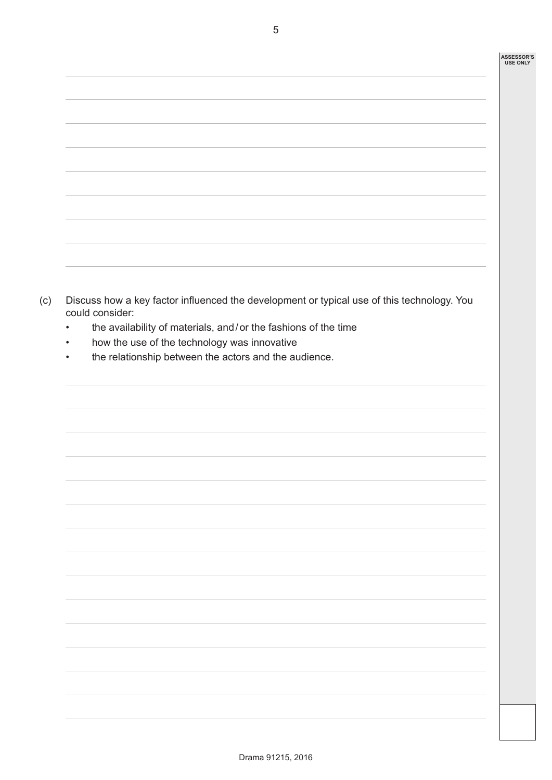| ,我们也不会有什么。""我们的人,我们也不会有什么?""我们的人,我们也不会有什么?""我们的人,我们也不会有什么?""我们的人,我们也不会有什么?""我们的人 |  |
|----------------------------------------------------------------------------------|--|
|                                                                                  |  |
|                                                                                  |  |
|                                                                                  |  |
|                                                                                  |  |
|                                                                                  |  |
|                                                                                  |  |
|                                                                                  |  |
|                                                                                  |  |
|                                                                                  |  |
|                                                                                  |  |
|                                                                                  |  |
|                                                                                  |  |
|                                                                                  |  |
|                                                                                  |  |
|                                                                                  |  |
|                                                                                  |  |
|                                                                                  |  |
|                                                                                  |  |
|                                                                                  |  |
|                                                                                  |  |

- (c) Discuss how a key factor influenced the development or typical use of this technology. You could consider:
	- the availability of materials, and / or the fashions of the time
	- how the use of the technology was innovative
	- the relationship between the actors and the audience.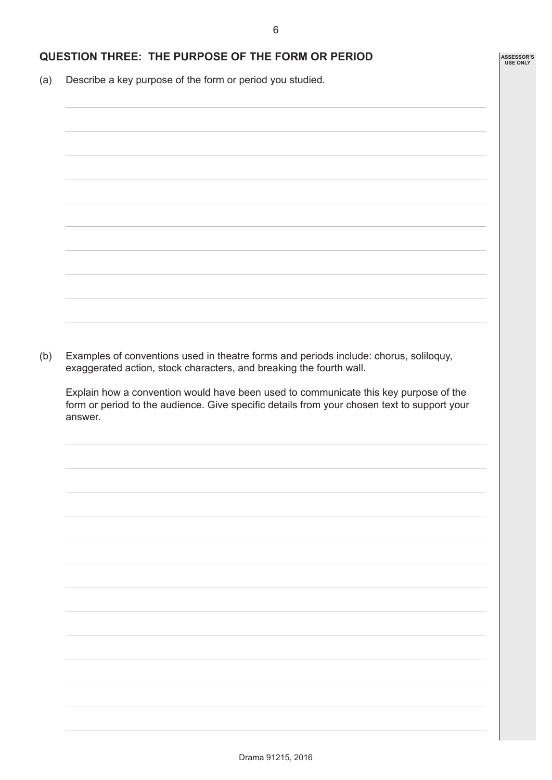## **QUESTION THREE: THE PURPOSE OF THE FORM OR PERIOD**

(a) Describe a key purpose of the form or period you studied.

(b) Examples of conventions used in theatre forms and periods include: chorus, soliloquy, exaggerated action, stock characters, and breaking the fourth wall.

Explain how a convention would have been used to communicate this key purpose of the form or period to the audience. Give specific details from your chosen text to support your answer.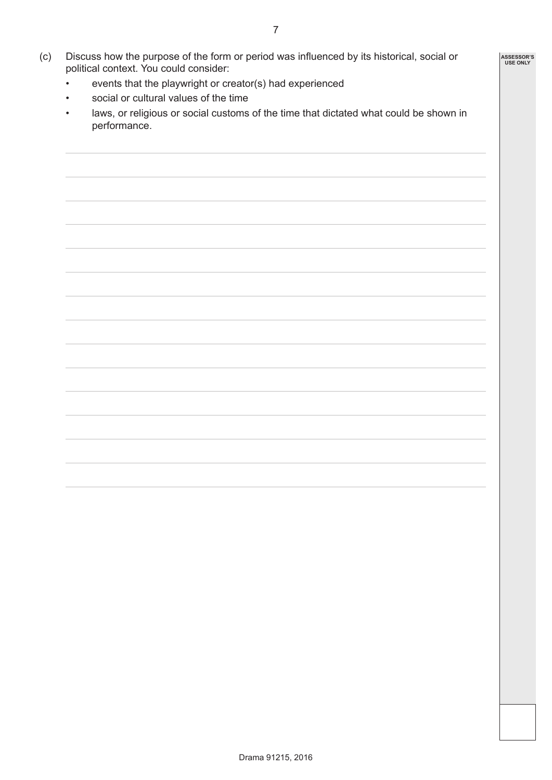- (c) Discuss how the purpose of the form or period was influenced by its historical, social or political context. You could consider:
	- events that the playwright or creator(s) had experienced
	- social or cultural values of the time
	- laws, or religious or social customs of the time that dictated what could be shown in performance.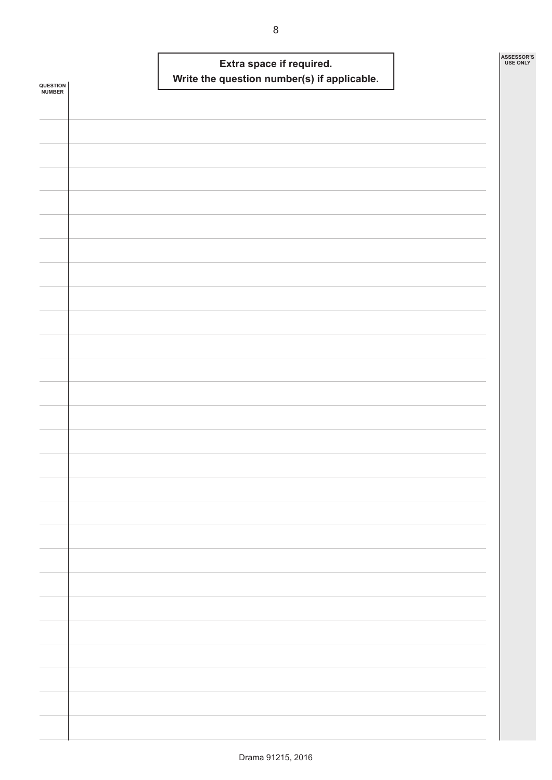|                            |  | Write the question number(s) if applicable. | Extra space if required. |  | ASSESSOR'S<br><b>USE ONLY</b> |
|----------------------------|--|---------------------------------------------|--------------------------|--|-------------------------------|
| <b>QUESTION<br/>NUMBER</b> |  |                                             |                          |  |                               |
|                            |  |                                             |                          |  |                               |
|                            |  |                                             |                          |  |                               |
|                            |  |                                             |                          |  |                               |
|                            |  |                                             |                          |  |                               |
|                            |  |                                             |                          |  |                               |
|                            |  |                                             |                          |  |                               |
|                            |  |                                             |                          |  |                               |
|                            |  |                                             |                          |  |                               |
|                            |  |                                             |                          |  |                               |
|                            |  |                                             |                          |  |                               |
|                            |  |                                             |                          |  |                               |
|                            |  |                                             |                          |  |                               |
|                            |  |                                             |                          |  |                               |
|                            |  |                                             |                          |  |                               |
|                            |  |                                             |                          |  |                               |
|                            |  |                                             |                          |  |                               |
|                            |  |                                             |                          |  |                               |
|                            |  |                                             |                          |  |                               |
|                            |  |                                             |                          |  |                               |
|                            |  |                                             |                          |  |                               |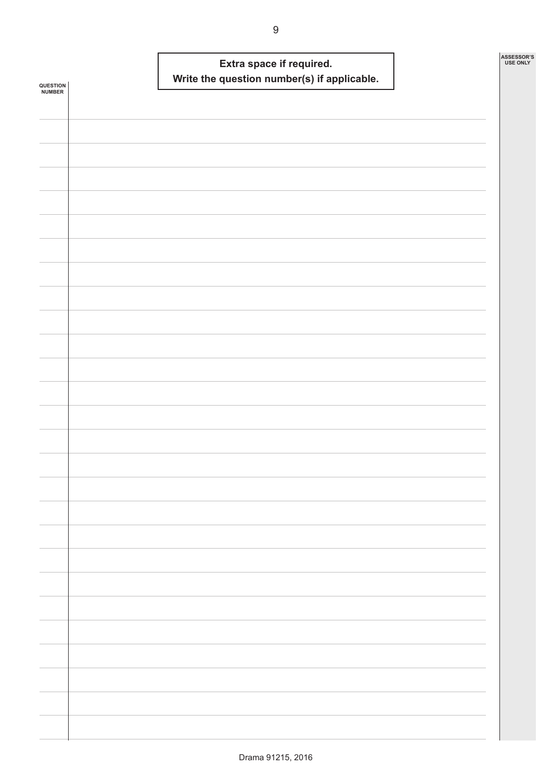|                            |  | Write the question number(s) if applicable. | Extra space if required. |  | ASSESSOR'S<br><b>USE ONLY</b> |
|----------------------------|--|---------------------------------------------|--------------------------|--|-------------------------------|
| <b>QUESTION<br/>NUMBER</b> |  |                                             |                          |  |                               |
|                            |  |                                             |                          |  |                               |
|                            |  |                                             |                          |  |                               |
|                            |  |                                             |                          |  |                               |
|                            |  |                                             |                          |  |                               |
|                            |  |                                             |                          |  |                               |
|                            |  |                                             |                          |  |                               |
|                            |  |                                             |                          |  |                               |
|                            |  |                                             |                          |  |                               |
|                            |  |                                             |                          |  |                               |
|                            |  |                                             |                          |  |                               |
|                            |  |                                             |                          |  |                               |
|                            |  |                                             |                          |  |                               |
|                            |  |                                             |                          |  |                               |
|                            |  |                                             |                          |  |                               |
|                            |  |                                             |                          |  |                               |
|                            |  |                                             |                          |  |                               |
|                            |  |                                             |                          |  |                               |
|                            |  |                                             |                          |  |                               |
|                            |  |                                             |                          |  |                               |
|                            |  |                                             |                          |  |                               |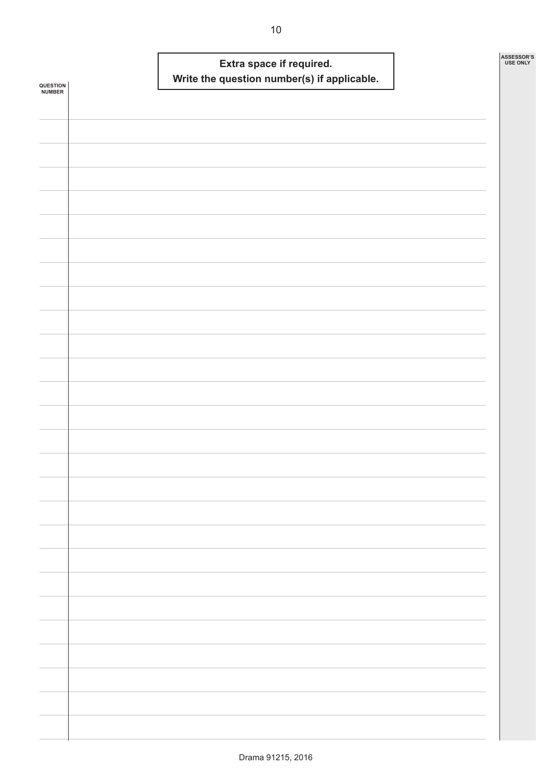| QUESTION<br><b>NUMBER</b> |  | Extra space if required. | Write the question number(s) if applicable. |  | ASSESSOR'S<br><b>USE ONLY</b> |
|---------------------------|--|--------------------------|---------------------------------------------|--|-------------------------------|
|                           |  |                          |                                             |  |                               |
|                           |  |                          |                                             |  |                               |
|                           |  |                          |                                             |  |                               |
|                           |  |                          |                                             |  |                               |
|                           |  |                          |                                             |  |                               |
|                           |  |                          |                                             |  |                               |
|                           |  |                          |                                             |  |                               |
|                           |  |                          |                                             |  |                               |
|                           |  |                          |                                             |  |                               |
|                           |  |                          |                                             |  |                               |
|                           |  |                          |                                             |  |                               |